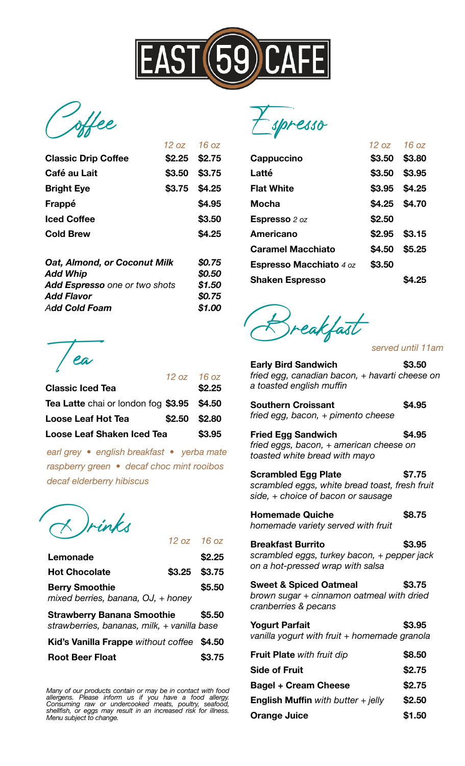

Coffee

|                            | $12 oz$ $16 oz$ |               |
|----------------------------|-----------------|---------------|
| <b>Classic Drip Coffee</b> | $$2.25$ \$2.75  |               |
| Café au Lait               | \$3.50 \$3.75   |               |
| <b>Bright Eye</b>          |                 | \$3.75 \$4.25 |
| Frappé                     |                 | \$4.95        |
| <b>Iced Coffee</b>         |                 | \$3.50        |
| <b>Cold Brew</b>           |                 | \$4.25        |
|                            |                 |               |

| <b>Oat, Almond, or Coconut Milk</b>  | \$0.75 |
|--------------------------------------|--------|
| <b>Add Whip</b>                      | \$0.50 |
| <b>Add Espresso</b> one or two shots | \$1,50 |
| <b>Add Flavor</b>                    | \$0.75 |
| <b>Add Cold Foam</b>                 | \$1.00 |

|                                            |               | $12 oz$ $16 oz$ |
|--------------------------------------------|---------------|-----------------|
| <b>Classic Iced Tea</b>                    |               | \$2.25          |
| Tea Latte chai or london fog \$3.95 \$4.50 |               |                 |
| <b>Loose Leaf Hot Tea</b>                  | \$2.50 \$2.80 |                 |
| <b>Loose Leaf Shaken Iced Tea</b>          |               | \$3.95          |

*earl grey • english breakfast • yerba mate raspberry green • decaf choc mint rooibos decaf elderberry hibiscus*

Drinks *12 oz 16 oz*

|                                             | 1 U UZ                                                                                          |
|---------------------------------------------|-------------------------------------------------------------------------------------------------|
|                                             | \$2.25                                                                                          |
|                                             | \$3.75                                                                                          |
|                                             | \$5.50                                                                                          |
|                                             | \$5.50                                                                                          |
| strawberries, bananas, milk, + vanilla base |                                                                                                 |
| Kid's Vanilla Frappe without coffee         | \$4.50                                                                                          |
|                                             | $L$ $L$<br>\$3.25<br>mixed berries, banana, $OJ$ , + honey<br><b>Strawberry Banana Smoothie</b> |

*Many of our products contain or may be in contact with food allergens. Please inform us if you have a food allergy. Consuming raw or undercooked meats, poultry, seafood, shellfish, or eggs may result in an increased risk for illness. Menu subject to change.* 

Espresso

|                                | $12 oz$ $16 oz$ |                |
|--------------------------------|-----------------|----------------|
| Cappuccino                     |                 | \$3.50 \$3.80  |
| Latté                          | \$3.50          | \$3.95         |
| <b>Flat White</b>              |                 | \$3.95 \$4.25  |
| <b>Mocha</b>                   |                 | \$4.25 \$4.70  |
| <b>Espresso</b> 2 oz           | \$2.50          |                |
| Americano                      |                 | $$2.95$ \$3.15 |
| <b>Caramel Macchiato</b>       | \$4.50          | \$5.25         |
| <b>Espresso Macchiato 4 oz</b> | \$3.50          |                |
| <b>Shaken Espresso</b>         |                 | <b>S4.25</b>   |

ea Estuardian de Contractor de la France de la France de la France de la France de la France de la Terre de la Terre de la Terre de la Terre de la Terre de la Terre de la Terre de la Terre de la Terre de la Terre de la Ter

*served until 11am*

| <b>Early Bird Sandwich</b>                     | \$3.50 |
|------------------------------------------------|--------|
| fried egg, canadian bacon, + havarti cheese on |        |
| a toasted english muffin                       |        |

| <b>Southern Croissant</b><br>fried egg, bacon, + pimento cheese | \$4.95 |
|-----------------------------------------------------------------|--------|
| <b>Fried Egg Sandwich</b>                                       | \$4.95 |

*fried eggs, bacon, + american cheese on toasted white bread with mayo* 

| <b>Scrambled Egg Plate</b>                     | \$7.75 |
|------------------------------------------------|--------|
| scrambled eggs, white bread toast, fresh fruit |        |
| side, $+$ choice of bacon or sausage           |        |

| <b>Homemade Quiche</b>             | \$8.75 |
|------------------------------------|--------|
| homemede veriety served with fruit |        |

*homemade variety served with fruit* 

**Breakfast Burrito \$3.95**  *scrambled eggs, turkey bacon, + pepper jack on a hot-pressed wrap with salsa* 

| <b>Sweet &amp; Spiced Oatmeal</b>         | \$3.75 |
|-------------------------------------------|--------|
| brown sugar + cinnamon oatmeal with dried |        |
| cranberries & pecans                      |        |
| Voqurt Darfait                            | 42 OF  |

| <b>Yogurt Parfait</b>                        | \$3.95 |
|----------------------------------------------|--------|
| vanilla yogurt with fruit + homemade granola |        |

| Fruit Plate with fruit dip                  | \$8.50 |
|---------------------------------------------|--------|
| <b>Side of Fruit</b>                        | \$2.75 |
| <b>Bagel + Cream Cheese</b>                 | \$2.75 |
| <b>English Muffin</b> with butter $+$ jelly | \$2.50 |
| <b>Orange Juice</b>                         | \$1.50 |